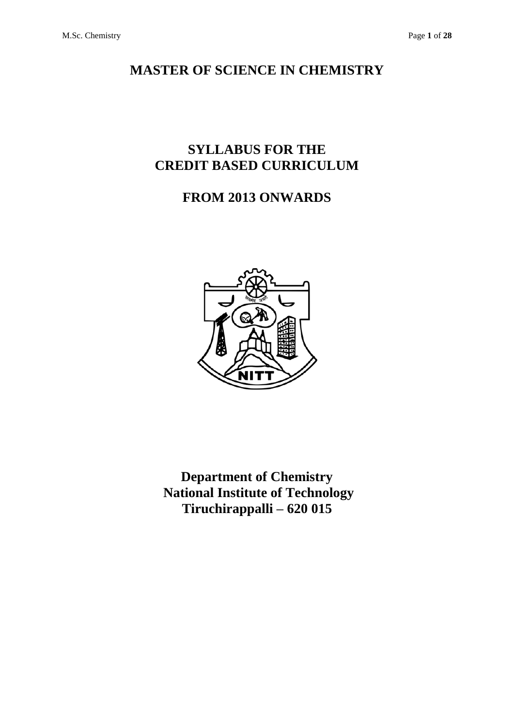# **MASTER OF SCIENCE IN CHEMISTRY**

# **SYLLABUS FOR THE CREDIT BASED CURRICULUM**

# **FROM 2013 ONWARDS**



**Department of Chemistry National Institute of Technology Tiruchirappalli – 620 015**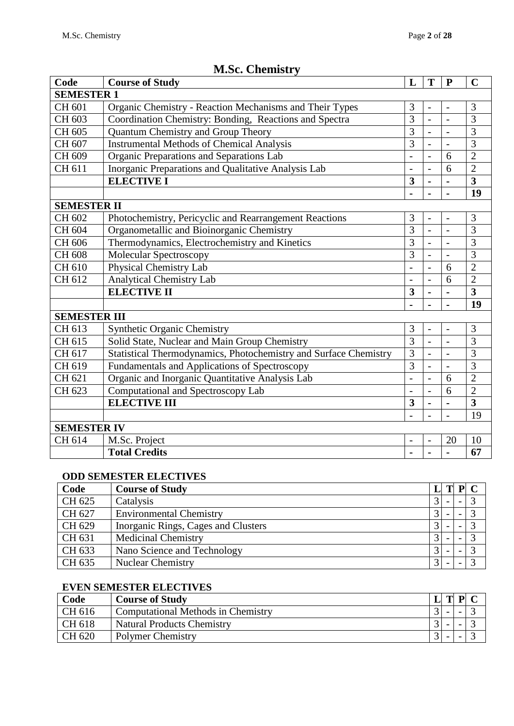| Code                | <b>Course of Study</b>                                           | L                        | T                        | $\mathbf{P}$             | $\mathbf C$             |  |  |  |
|---------------------|------------------------------------------------------------------|--------------------------|--------------------------|--------------------------|-------------------------|--|--|--|
| <b>SEMESTER 1</b>   |                                                                  |                          |                          |                          |                         |  |  |  |
| CH 601              | Organic Chemistry - Reaction Mechanisms and Their Types          | 3                        | $\overline{\phantom{a}}$ | $\overline{\phantom{0}}$ | 3                       |  |  |  |
| CH 603              | Coordination Chemistry: Bonding, Reactions and Spectra           | $\overline{3}$           | $\overline{a}$           |                          | $\overline{3}$          |  |  |  |
| CH 605              | Quantum Chemistry and Group Theory                               | $\overline{3}$           | $\overline{a}$           |                          | 3                       |  |  |  |
| CH 607              | <b>Instrumental Methods of Chemical Analysis</b>                 | 3                        | $\overline{a}$           | $\overline{a}$           | $\overline{3}$          |  |  |  |
| CH 609              | Organic Preparations and Separations Lab                         | $\overline{\phantom{0}}$ | $\overline{a}$           | 6                        | $\overline{2}$          |  |  |  |
| CH 611              | Inorganic Preparations and Qualitative Analysis Lab              | $\overline{a}$           | $\overline{a}$           | 6                        | $\overline{2}$          |  |  |  |
|                     | <b>ELECTIVE I</b>                                                | 3                        | ÷,                       |                          | $\overline{\mathbf{3}}$ |  |  |  |
|                     |                                                                  |                          |                          |                          | 19                      |  |  |  |
| <b>SEMESTER II</b>  |                                                                  |                          |                          |                          |                         |  |  |  |
| CH 602              | Photochemistry, Pericyclic and Rearrangement Reactions           | 3                        | $\overline{a}$           |                          | 3                       |  |  |  |
| CH 604              | Organometallic and Bioinorganic Chemistry                        | $\overline{3}$           | $\overline{a}$           | $\overline{a}$           | $\overline{3}$          |  |  |  |
| CH 606              | Thermodynamics, Electrochemistry and Kinetics                    | 3                        | $\overline{a}$           |                          | $\overline{3}$          |  |  |  |
| CH 608              | Molecular Spectroscopy                                           | 3                        | $\overline{a}$           |                          | 3                       |  |  |  |
| CH 610              | Physical Chemistry Lab                                           | $\overline{\phantom{0}}$ | $\overline{a}$           | 6                        | $\overline{2}$          |  |  |  |
| CH 612              | <b>Analytical Chemistry Lab</b>                                  |                          |                          | 6                        | $\overline{2}$          |  |  |  |
|                     | <b>ELECTIVE II</b>                                               | 3                        |                          |                          | $\overline{\mathbf{3}}$ |  |  |  |
|                     |                                                                  |                          | Ē,                       |                          | 19                      |  |  |  |
| <b>SEMESTER III</b> |                                                                  |                          |                          |                          |                         |  |  |  |
| CH 613              | <b>Synthetic Organic Chemistry</b>                               | 3                        | $\overline{a}$           | $\overline{a}$           | 3                       |  |  |  |
| CH 615              | Solid State, Nuclear and Main Group Chemistry                    | 3                        | $\overline{a}$           |                          | $\overline{3}$          |  |  |  |
| CH 617              | Statistical Thermodynamics, Photochemistry and Surface Chemistry | 3                        | $\overline{a}$           |                          | 3                       |  |  |  |
| CH 619              | Fundamentals and Applications of Spectroscopy                    | 3                        | $\overline{a}$           | $\overline{a}$           | $\overline{3}$          |  |  |  |
| CH 621              | Organic and Inorganic Quantitative Analysis Lab                  | $\overline{\phantom{a}}$ | $\overline{a}$           | 6                        | $\overline{2}$          |  |  |  |
| CH 623              | Computational and Spectroscopy Lab                               | $\overline{\phantom{a}}$ | $\overline{a}$           | 6                        | $\overline{2}$          |  |  |  |
|                     | <b>ELECTIVE III</b>                                              | 3                        | L                        |                          | $\overline{3}$          |  |  |  |
|                     |                                                                  |                          |                          |                          | 19                      |  |  |  |
|                     | <b>SEMESTER IV</b>                                               |                          |                          |                          |                         |  |  |  |
| CH 614              | M.Sc. Project                                                    | $\overline{\phantom{a}}$ | $\overline{\phantom{0}}$ | 20                       | 10                      |  |  |  |
|                     | <b>Total Credits</b>                                             |                          |                          |                          | 67                      |  |  |  |

# **M.Sc. Chemistry**

### **ODD SEMESTER ELECTIVES**

| Code   | <b>Course of Study</b>              |           | P |  |
|--------|-------------------------------------|-----------|---|--|
| CH 625 | Catalysis                           |           |   |  |
| CH 627 | <b>Environmental Chemistry</b>      |           |   |  |
| CH 629 | Inorganic Rings, Cages and Clusters |           |   |  |
| CH 631 | <b>Medicinal Chemistry</b>          | $\bigcap$ |   |  |
| CH 633 | Nano Science and Technology         |           |   |  |
| CH 635 | <b>Nuclear Chemistry</b>            |           |   |  |

### **EVEN SEMESTER ELECTIVES**

| Code           | <b>Course of Study</b>                    | m | DI |  |
|----------------|-------------------------------------------|---|----|--|
| CH 616         | <b>Computational Methods in Chemistry</b> |   |    |  |
| $\vert$ CH 618 | <b>Natural Products Chemistry</b>         |   |    |  |
| CH 620         | <b>Polymer Chemistry</b>                  |   |    |  |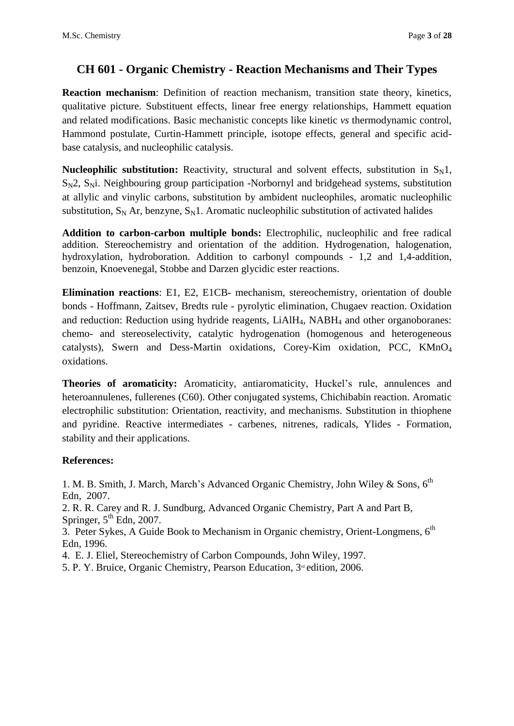### **CH 601 - Organic Chemistry - Reaction Mechanisms and Their Types**

**Reaction mechanism**: Definition of reaction mechanism, transition state theory, kinetics, qualitative picture. Substituent effects, linear free energy relationships, Hammett equation and related modifications. Basic mechanistic concepts like kinetic *vs* thermodynamic control, Hammond postulate, Curtin-Hammett principle, isotope effects, general and specific acidbase catalysis, and nucleophilic catalysis.

**Nucleophilic substitution:** Reactivity, structural and solvent effects, substitution in  $S_N1$ ,  $S_N$ 2,  $S_N$ i. Neighbouring group participation -Norbornyl and bridgehead systems, substitution at allylic and vinylic carbons, substitution by ambident nucleophiles, aromatic nucleophilic substitution,  $S_N$  Ar, benzyne,  $S_N$ 1. Aromatic nucleophilic substitution of activated halides

**Addition to carbon-carbon multiple bonds:** Electrophilic, nucleophilic and free radical addition. Stereochemistry and orientation of the addition. Hydrogenation, halogenation, hydroxylation, hydroboration. Addition to carbonyl compounds - 1,2 and 1,4-addition, benzoin, Knoevenegal, Stobbe and Darzen glycidic ester reactions.

**Elimination reactions**: E1, E2, E1CB- mechanism, stereochemistry, orientation of double bonds - Hoffmann, Zaitsev, Bredts rule - pyrolytic elimination, Chugaev reaction. Oxidation and reduction: Reduction using hydride reagents, LiAlH<sub>4</sub>, NABH<sub>4</sub> and other organoboranes: chemo- and stereoselectivity, catalytic hydrogenation (homogenous and heterogeneous catalysts), Swern and Dess-Martin oxidations, Corey-Kim oxidation, PCC, KMnO<sup>4</sup> oxidations.

**Theories of aromaticity:** Aromaticity, antiaromaticity, Huckel's rule, annulences and heteroannulenes, fullerenes (C60). Other conjugated systems, Chichibabin reaction. Aromatic electrophilic substitution: Orientation, reactivity, and mechanisms. Substitution in thiophene and pyridine. Reactive intermediates - carbenes, nitrenes, radicals, Ylides - Formation, stability and their applications.

### **References:**

1. M. B. Smith, J. March, March's Advanced Organic Chemistry, John Wiley & Sons. 6<sup>th</sup> Edn, 2007.

2. R. R. Carey and R. J. Sundburg, Advanced Organic Chemistry, Part A and Part B, Springer,  $5<sup>th</sup>$  Edn, 2007.

3. Peter Sykes, A Guide Book to Mechanism in Organic chemistry, Orient-Longmens. 6<sup>th</sup> Edn, 1996.

4. E. J. Eliel, Stereochemistry of Carbon Compounds, John Wiley, 1997.

5. P. Y. Bruice, Organic Chemistry, Pearson Education, 3<sup>rd</sup> edition, 2006.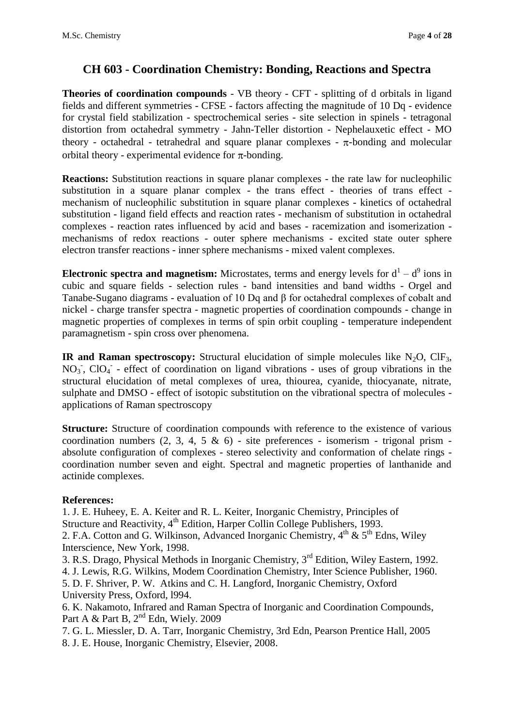## **CH 603 - Coordination Chemistry: Bonding, Reactions and Spectra**

**Theories of coordination compounds** - VB theory - CFT - splitting of d orbitals in ligand fields and different symmetries - CFSE - factors affecting the magnitude of 10 Dq - evidence for crystal field stabilization - spectrochemical series - site selection in spinels - tetragonal distortion from octahedral symmetry - Jahn-Teller distortion - Nephelauxetic effect - MO theory - octahedral - tetrahedral and square planar complexes -  $\pi$ -bonding and molecular orbital theory - experimental evidence for  $\pi$ -bonding.

**Reactions:** Substitution reactions in square planar complexes - the rate law for nucleophilic substitution in a square planar complex - the trans effect - theories of trans effect mechanism of nucleophilic substitution in square planar complexes - kinetics of octahedral substitution - ligand field effects and reaction rates - mechanism of substitution in octahedral complexes - reaction rates influenced by acid and bases - racemization and isomerization mechanisms of redox reactions - outer sphere mechanisms - excited state outer sphere electron transfer reactions - inner sphere mechanisms - mixed valent complexes.

**Electronic spectra and magnetism:** Microstates, terms and energy levels for  $d^1 - d^9$  ions in cubic and square fields - selection rules - band intensities and band widths - Orgel and Tanabe-Sugano diagrams - evaluation of 10 Dq and β for octahedral complexes of cobalt and nickel - charge transfer spectra - magnetic properties of coordination compounds - change in magnetic properties of complexes in terms of spin orbit coupling - temperature independent paramagnetism - spin cross over phenomena.

**IR and Raman spectroscopy:** Structural elucidation of simple molecules like  $N_2O$ , ClF<sub>3</sub>, NO<sub>3</sub>, ClO<sub>4</sub> - effect of coordination on ligand vibrations - uses of group vibrations in the structural elucidation of metal complexes of urea, thiourea, cyanide, thiocyanate, nitrate, sulphate and DMSO - effect of isotopic substitution on the vibrational spectra of molecules applications of Raman spectroscopy

**Structure:** Structure of coordination compounds with reference to the existence of various coordination numbers  $(2, 3, 4, 5 \& 6)$  - site preferences - isomerism - trigonal prism absolute configuration of complexes - stereo selectivity and conformation of chelate rings coordination number seven and eight. Spectral and magnetic properties of lanthanide and actinide complexes.

### **References:**

1. J. E. Huheey, E. A. Keiter and R. L. Keiter, Inorganic Chemistry, Principles of Structure and Reactivity,  $4<sup>th</sup>$  Edition, Harper Collin College Publishers, 1993. 2. F.A. Cotton and G. Wilkinson, Advanced Inorganic Chemistry,  $4^{th}$  &  $5^{th}$  Edns, Wiley Interscience, New York, 1998.

3. R.S. Drago, Physical Methods in Inorganic Chemistry, 3rd Edition, Wiley Eastern, 1992. 4. J. Lewis, R.G. Wilkins, Modem Coordination Chemistry, Inter Science Publisher, 1960. 5. D. F. Shriver, P. W. Atkins and C. H. Langford, Inorganic Chemistry, Oxford University Press, Oxford, l994.

6. K. Nakamoto, Infrared and Raman Spectra of Inorganic and Coordination Compounds, Part A & Part B,  $2<sup>nd</sup>$  Edn, Wiely. 2009

7. G. L. Miessler, D. A. Tarr, Inorganic Chemistry, 3rd Edn, Pearson Prentice Hall, 2005 8. J. E. House, Inorganic Chemistry, Elsevier, 2008.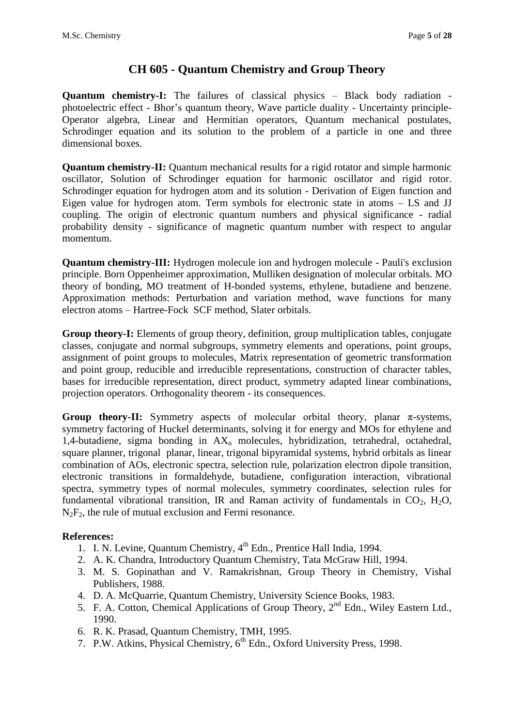# **CH 605 - Quantum Chemistry and Group Theory**

**Quantum chemistry-I:** The failures of classical physics – Black body radiation photoelectric effect - Bhor's quantum theory, Wave particle duality - Uncertainty principle-Operator algebra, Linear and Hermitian operators, Quantum mechanical postulates, Schrodinger equation and its solution to the problem of a particle in one and three dimensional boxes.

**Quantum chemistry-II:** Quantum mechanical results for a rigid rotator and simple harmonic oscillator, Solution of Schrodinger equation for harmonic oscillator and rigid rotor. Schrodinger equation for hydrogen atom and its solution - Derivation of Eigen function and Eigen value for hydrogen atom. Term symbols for electronic state in atoms – LS and JJ coupling. The origin of electronic quantum numbers and physical significance - radial probability density - significance of magnetic quantum number with respect to angular momentum.

**Quantum chemistry-III:** Hydrogen molecule ion and hydrogen molecule - Pauli's exclusion principle. Born Oppenheimer approximation, Mulliken designation of molecular orbitals. MO theory of bonding, MO treatment of H-bonded systems, ethylene, butadiene and benzene. Approximation methods: Perturbation and variation method, wave functions for many electron atoms – Hartree-Fock SCF method, Slater orbitals.

**Group theory-I:** Elements of group theory, definition, group multiplication tables, conjugate classes, conjugate and normal subgroups, symmetry elements and operations, point groups, assignment of point groups to molecules, Matrix representation of geometric transformation and point group, reducible and irreducible representations, construction of character tables, bases for irreducible representation, direct product, symmetry adapted linear combinations, projection operators. Orthogonality theorem - its consequences.

**Group theory-II:** Symmetry aspects of molecular orbital theory, planar  $\pi$ -systems, symmetry factoring of Huckel determinants, solving it for energy and MOs for ethylene and 1,4-butadiene, sigma bonding in  $AX_n$  molecules, hybridization, tetrahedral, octahedral, square planner, trigonal planar, linear, trigonal bipyramidal systems, hybrid orbitals as linear combination of AOs, electronic spectra, selection rule, polarization electron dipole transition, electronic transitions in formaldehyde, butadiene, configuration interaction, vibrational spectra, symmetry types of normal molecules, symmetry coordinates, selection rules for fundamental vibrational transition, IR and Raman activity of fundamentals in  $CO<sub>2</sub>$ , H<sub>2</sub>O,  $N_2F_2$ , the rule of mutual exclusion and Fermi resonance.

- 1. I. N. Levine, Quantum Chemistry, 4<sup>th</sup> Edn., Prentice Hall India, 1994.
- 2. A. K. Chandra, Introductory Quantum Chemistry, Tata McGraw Hill, 1994.
- 3. M. S. Gopinathan and V. Ramakrishnan, Group Theory in Chemistry, Vishal Publishers, 1988.
- 4. D. A. McQuarrie, Quantum Chemistry, University Science Books, 1983.
- 5. F. A. Cotton, Chemical Applications of Group Theory,  $2<sup>nd</sup>$  Edn., Wiley Eastern Ltd., 1990.
- 6. R. K. Prasad, Quantum Chemistry, TMH, 1995.
- 7. P.W. Atkins, Physical Chemistry, 6<sup>th</sup> Edn., Oxford University Press, 1998.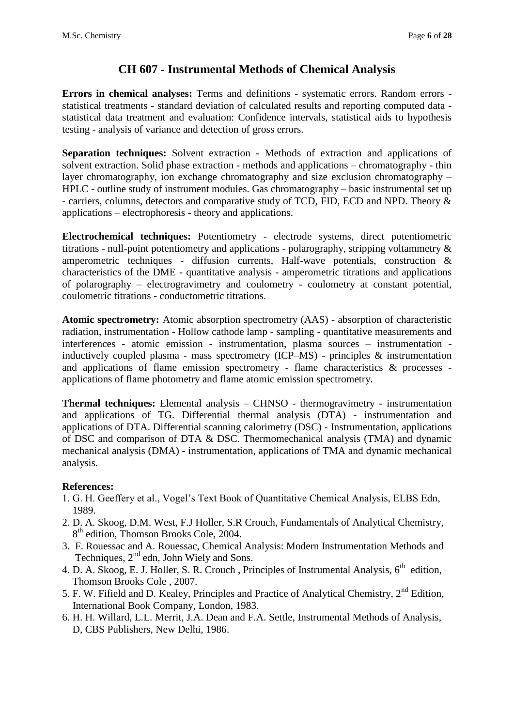### **CH 607 - Instrumental Methods of Chemical Analysis**

**Errors in chemical analyses:** Terms and definitions - systematic errors. Random errors statistical treatments - standard deviation of calculated results and reporting computed data statistical data treatment and evaluation: Confidence intervals, statistical aids to hypothesis testing - analysis of variance and detection of gross errors.

**Separation techniques:** Solvent extraction - Methods of extraction and applications of solvent extraction. Solid phase extraction - methods and applications – chromatography - thin layer chromatography, ion exchange chromatography and size exclusion chromatography – HPLC - outline study of instrument modules. Gas chromatography – basic instrumental set up - carriers, columns, detectors and comparative study of TCD, FID, ECD and NPD. Theory & applications – electrophoresis - theory and applications.

**Electrochemical techniques:** Potentiometry - electrode systems, direct potentiometric titrations - null-point potentiometry and applications - polarography, stripping voltammetry & amperometric techniques - diffusion currents, Half-wave potentials, construction & characteristics of the DME - quantitative analysis - amperometric titrations and applications of polarography – electrogravimetry and coulometry - coulometry at constant potential, coulometric titrations - conductometric titrations.

**Atomic spectrometry:** Atomic absorption spectrometry (AAS) - absorption of characteristic radiation, instrumentation - Hollow cathode lamp - sampling - quantitative measurements and interferences - atomic emission - instrumentation, plasma sources – instrumentation inductively coupled plasma - mass spectrometry (ICP–MS) - principles & instrumentation and applications of flame emission spectrometry - flame characteristics & processes applications of flame photometry and flame atomic emission spectrometry.

**Thermal techniques:** Elemental analysis – CHNSO - thermogravimetry - instrumentation and applications of TG. Differential thermal analysis (DTA) - instrumentation and applications of DTA. Differential scanning calorimetry (DSC) - Instrumentation, applications of DSC and comparison of DTA & DSC. Thermomechanical analysis (TMA) and dynamic mechanical analysis (DMA) - instrumentation, applications of TMA and dynamic mechanical analysis.

- 1. G. H. Geeffery et al., Vogel's Text Book of Quantitative Chemical Analysis, ELBS Edn, 1989.
- 2. D. A. Skoog, D.M. West, F.J Holler, S.R Crouch, Fundamentals of Analytical Chemistry, 8<sup>th</sup> edition, Thomson Brooks Cole, 2004.
- 3. F. Rouessac and A. Rouessac, Chemical Analysis: Modern Instrumentation Methods and Techniques,  $2<sup>nd</sup>$  edn, John Wiely and Sons.
- 4. D. A. Skoog, E. J. Holler, S. R. Crouch, Principles of Instrumental Analysis,  $6<sup>th</sup>$  edition, Thomson Brooks Cole , 2007.
- 5. F. W. Fifield and D. Kealey, Principles and Practice of Analytical Chemistry, 2<sup>nd</sup> Edition, International Book Company, London, 1983.
- 6. H. H. Willard, L.L. Merrit, J.A. Dean and F.A. Settle, Instrumental Methods of Analysis, D, CBS Publishers, New Delhi, 1986.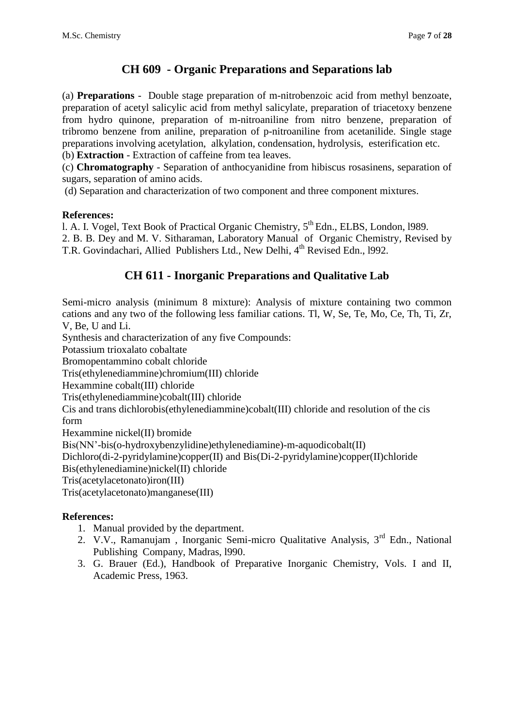# **CH 609 - Organic Preparations and Separations lab**

(a) **Preparations** - Double stage preparation of m-nitrobenzoic acid from methyl benzoate, preparation of acetyl salicylic acid from methyl salicylate, preparation of triacetoxy benzene from hydro quinone, preparation of m-nitroaniline from nitro benzene, preparation of tribromo benzene from aniline, preparation of p-nitroaniline from acetanilide. Single stage preparations involving acetylation, alkylation, condensation, hydrolysis, esterification etc. (b) **Extraction** - Extraction of caffeine from tea leaves.

(c) **Chromatography** - Separation of anthocyanidine from hibiscus rosasinens, separation of sugars, separation of amino acids.

(d) Separation and characterization of two component and three component mixtures.

### **References:**

1. A. I. Vogel, Text Book of Practical Organic Chemistry, 5<sup>th</sup> Edn., ELBS, London, 1989.

2. B. B. Dey and M. V. Sitharaman, Laboratory Manual of Organic Chemistry, Revised by T.R. Govindachari, Allied Publishers Ltd., New Delhi, 4<sup>th</sup> Revised Edn., 1992.

### **CH 611 - Inorganic Preparations and Qualitative Lab**

Semi-micro analysis (minimum 8 mixture): Analysis of mixture containing two common cations and any two of the following less familiar cations. Tl, W, Se, Te, Mo, Ce, Th, Ti, Zr, V, Be, U and Li.

Synthesis and characterization of any five Compounds:

Potassium trioxalato cobaltate

Bromopentammino cobalt chloride

Tris(ethylenediammine)chromium(III) chloride

Hexammine cobalt(III) chloride

Tris(ethylenediammine)cobalt(III) chloride

Cis and trans dichlorobis(ethylenediammine)cobalt(III) chloride and resolution of the cis form

Hexammine nickel(II) bromide

Bis(NN'-bis(o-hydroxybenzylidine)ethylenediamine)-m-aquodicobalt(II)

Dichloro(di-2-pyridylamine)copper(II) and Bis(Di-2-pyridylamine)copper(II)chloride

Bis(ethylenediamine)nickel(II) chloride

Tris(acetylacetonato)iron(III)

Tris(acetylacetonato)manganese(III)

- 1. Manual provided by the department.
- 2. V.V., Ramanujam , Inorganic Semi-micro Qualitative Analysis, 3rd Edn., National Publishing Company, Madras, l990.
- 3. G. Brauer (Ed.), Handbook of Preparative Inorganic Chemistry, Vols. I and II, Academic Press, 1963.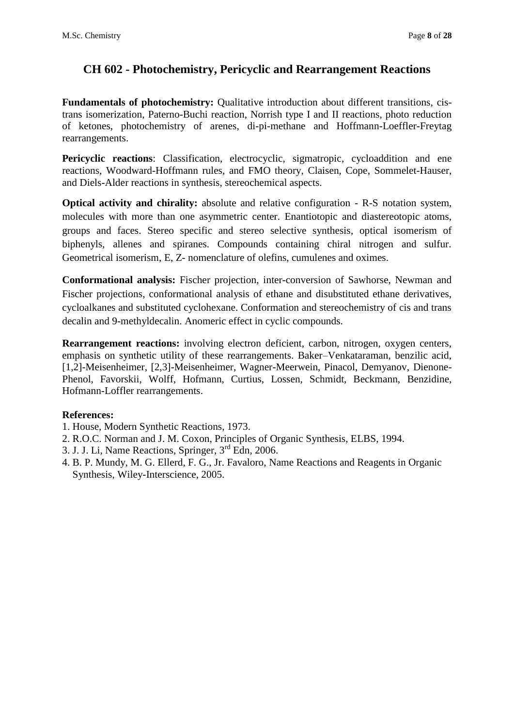# **CH 602 - Photochemistry, Pericyclic and Rearrangement Reactions**

**Fundamentals of photochemistry:** Qualitative introduction about different transitions, cistrans isomerization, Paterno-Buchi reaction, Norrish type I and II reactions, photo reduction of ketones, photochemistry of arenes, di-pi-methane and Hoffmann-Loeffler-Freytag rearrangements.

Pericyclic reactions: Classification, electrocyclic, sigmatropic, cycloaddition and ene reactions, Woodward-Hoffmann rules, and FMO theory, Claisen, Cope, Sommelet-Hauser, and Diels-Alder reactions in synthesis, stereochemical aspects.

**Optical activity and chirality:** absolute and relative configuration - R-S notation system, molecules with more than one asymmetric center. Enantiotopic and diastereotopic atoms, groups and faces. Stereo specific and stereo selective synthesis, optical isomerism of biphenyls, allenes and spiranes. Compounds containing chiral nitrogen and sulfur. Geometrical isomerism, E, Z- nomenclature of olefins, cumulenes and oximes.

**Conformational analysis:** Fischer projection, inter-conversion of Sawhorse, Newman and Fischer projections, conformational analysis of ethane and disubstituted ethane derivatives, cycloalkanes and substituted cyclohexane. Conformation and stereochemistry of cis and trans decalin and 9-methyldecalin. Anomeric effect in cyclic compounds.

**Rearrangement reactions:** involving electron deficient, carbon, nitrogen, oxygen centers, emphasis on synthetic utility of these rearrangements. Baker–Venkataraman, benzilic acid, [1,2]-Meisenheimer, [2,3]-Meisenheimer, Wagner-Meerwein, Pinacol, Demyanov, Dienone-Phenol, Favorskii, Wolff, Hofmann, Curtius, Lossen, Schmidt, Beckmann, Benzidine, Hofmann-Loffler rearrangements.

- 1. House, Modern Synthetic Reactions, 1973.
- 2. R.O.C. Norman and J. M. Coxon, Principles of Organic Synthesis, ELBS, 1994.
- 3. J. J. Li, Name Reactions, Springer, 3rd Edn, 2006.
- 4. B. P. Mundy, M. G. Ellerd, F. G., Jr. Favaloro, Name Reactions and Reagents in Organic Synthesis, Wiley-Interscience, 2005.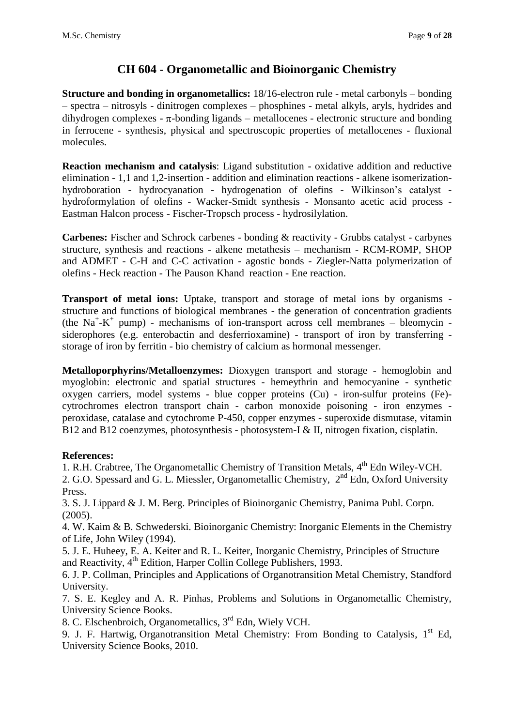# **CH 604 - Organometallic and Bioinorganic Chemistry**

**Structure and bonding in organometallics:** 18/16-electron rule - metal carbonyls – bonding – spectra – nitrosyls - dinitrogen complexes – phosphines - metal alkyls, aryls, hydrides and dihydrogen complexes -  $\pi$ -bonding ligands – metallocenes - electronic structure and bonding in ferrocene - synthesis, physical and spectroscopic properties of metallocenes - fluxional molecules.

**Reaction mechanism and catalysis**: Ligand substitution - oxidative addition and reductive elimination - 1,1 and 1,2-insertion - addition and elimination reactions - alkene isomerizationhydroboration - hydrocyanation - hydrogenation of olefins - Wilkinson's catalyst hydroformylation of olefins - Wacker-Smidt synthesis - Monsanto acetic acid process - Eastman Halcon process - Fischer-Tropsch process - hydrosilylation.

**Carbenes:** Fischer and Schrock carbenes - bonding & reactivity - Grubbs catalyst - carbynes structure, synthesis and reactions - alkene metathesis – mechanism - RCM-ROMP, SHOP and ADMET - C-H and C-C activation - agostic bonds - Ziegler-Natta polymerization of olefins - Heck reaction - The Pauson Khand reaction - Ene reaction.

**Transport of metal ions:** Uptake, transport and storage of metal ions by organisms structure and functions of biological membranes - the generation of concentration gradients (the  $Na^+ - K^+$  pump) - mechanisms of ion-transport across cell membranes – bleomycin siderophores (e.g. enterobactin and desferrioxamine) - transport of iron by transferring storage of iron by ferritin - bio chemistry of calcium as hormonal messenger.

**Metalloporphyrins/Metalloenzymes:** Dioxygen transport and storage - hemoglobin and myoglobin: electronic and spatial structures - hemeythrin and hemocyanine - synthetic oxygen carriers, model systems - blue copper proteins (Cu) - iron-sulfur proteins (Fe) cytrochromes electron transport chain - carbon monoxide poisoning - iron enzymes peroxidase, catalase and cytochrome P-450, copper enzymes - superoxide dismutase, vitamin B12 and B12 coenzymes, photosynthesis - photosystem-I & II, nitrogen fixation, cisplatin.

### **References:**

1. R.H. Crabtree, The Organometallic Chemistry of Transition Metals, 4<sup>th</sup> Edn Wiley-VCH.

2. G.O. Spessard and G. L. Miessler, [Organometallic Chemistry,](http://www.amazon.co.uk/Organometallic-Chemistry-Gary-O-Spessard/dp/0136401783/ref=sr_1_14?ie=UTF8&s=books&qid=1200547732&sr=1-14) 2<sup>nd</sup> Edn, Oxford University Press.

3. S. J. Lippard & J. M. Berg. Principles of Bioinorganic Chemistry, Panima Publ. Corpn.  $(2005)$ .

4. W. Kaim & B. Schwederski. Bioinorganic Chemistry: Inorganic Elements in the Chemistry of Life, John Wiley (1994).

5. J. E. Huheey, E. A. Keiter and R. L. Keiter, Inorganic Chemistry, Principles of Structure and Reactivity, 4<sup>th</sup> Edition, Harper Collin College Publishers, 1993.

6. J. P. Collman, Principles and Applications of Organotransition Metal Chemistry, Standford University.

7. S. E. Kegley and [A. R. Pinhas,](http://www.che.uc.edu/faculty_staff/pinhas_allan.html) Problems and Solutions in Organometallic Chemistry, University Science Books.

8. [C. Elschenbroich,](http://as.wiley.com/WileyCDA/Section/id-302477.html?query=Christoph+Elschenbroich) Organometallics, 3rd Edn, Wiely VCH.

9. J. F. Hartwig, Organotransition Metal Chemistry: From Bonding to Catalysis, 1<sup>st</sup> Ed, University Science Books, 2010.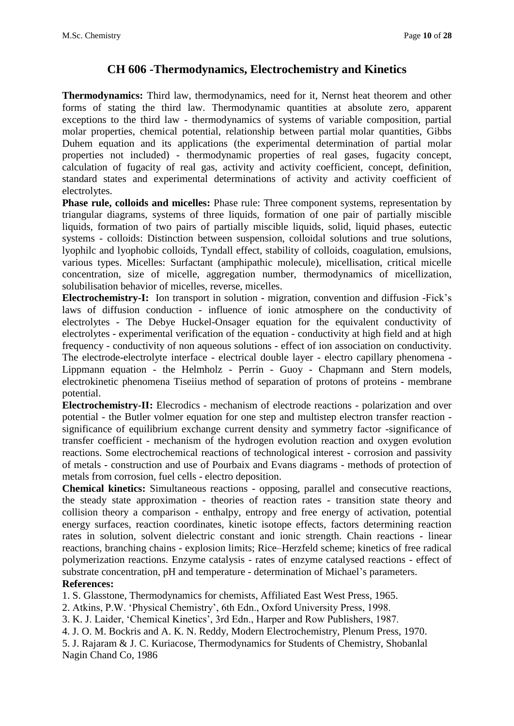### **CH 606 -Thermodynamics, Electrochemistry and Kinetics**

**Thermodynamics:** Third law, thermodynamics, need for it, Nernst heat theorem and other forms of stating the third law. Thermodynamic quantities at absolute zero, apparent exceptions to the third law - thermodynamics of systems of variable composition, partial molar properties, chemical potential, relationship between partial molar quantities, Gibbs Duhem equation and its applications (the experimental determination of partial molar properties not included) - thermodynamic properties of real gases, fugacity concept, calculation of fugacity of real gas, activity and activity coefficient, concept, definition, standard states and experimental determinations of activity and activity coefficient of electrolytes.

**Phase rule, colloids and micelles:** Phase rule: Three component systems, representation by triangular diagrams, systems of three liquids, formation of one pair of partially miscible liquids, formation of two pairs of partially miscible liquids, solid, liquid phases, eutectic systems - colloids: Distinction between suspension, colloidal solutions and true solutions, lyophilc and lyophobic colloids, Tyndall effect, stability of colloids, coagulation, emulsions, various types. Micelles: Surfactant (amphipathic molecule), micellisation, critical micelle concentration, size of micelle, aggregation number, thermodynamics of micellization, solubilisation behavior of micelles, reverse, micelles.

**Electrochemistry-I:** Ion transport in solution - migration, convention and diffusion -Fick's laws of diffusion conduction - influence of ionic atmosphere on the conductivity of electrolytes - The Debye Huckel-Onsager equation for the equivalent conductivity of electrolytes - experimental verification of the equation - conductivity at high field and at high frequency - conductivity of non aqueous solutions - effect of ion association on conductivity. The electrode-electrolyte interface - electrical double layer - electro capillary phenomena - Lippmann equation - the Helmholz - Perrin - Guoy - Chapmann and Stern models, electrokinetic phenomena Tiseiius method of separation of protons of proteins - membrane potential.

**Electrochemistry-II:** Elecrodics - mechanism of electrode reactions - polarization and over potential - the Butler volmer equation for one step and multistep electron transfer reaction significance of equilibrium exchange current density and symmetry factor -significance of transfer coefficient - mechanism of the hydrogen evolution reaction and oxygen evolution reactions. Some electrochemical reactions of technological interest - corrosion and passivity of metals - construction and use of Pourbaix and Evans diagrams - methods of protection of metals from corrosion, fuel cells - electro deposition.

**Chemical kinetics:** Simultaneous reactions - opposing, parallel and consecutive reactions, the steady state approximation - theories of reaction rates - transition state theory and collision theory a comparison - enthalpy, entropy and free energy of activation, potential energy surfaces, reaction coordinates, kinetic isotope effects, factors determining reaction rates in solution, solvent dielectric constant and ionic strength. Chain reactions - linear reactions, branching chains - explosion limits; Rice–Herzfeld scheme; kinetics of free radical polymerization reactions. Enzyme catalysis - rates of enzyme catalysed reactions - effect of substrate concentration, pH and temperature - determination of Michael's parameters. **References:** 

1. S. Glasstone, Thermodynamics for chemists, Affiliated East West Press, 1965.

2. Atkins, P.W. 'Physical Chemistry', 6th Edn., Oxford University Press, 1998.

3. K. J. Laider, 'Chemical Kinetics', 3rd Edn., Harper and Row Publishers, 1987.

4. J. O. M. Bockris and A. K. N. Reddy, Modern Electrochemistry, Plenum Press, 1970.

5. J. Rajaram & J. C. Kuriacose, Thermodynamics for Students of Chemistry, Shobanlal Nagin Chand Co, 1986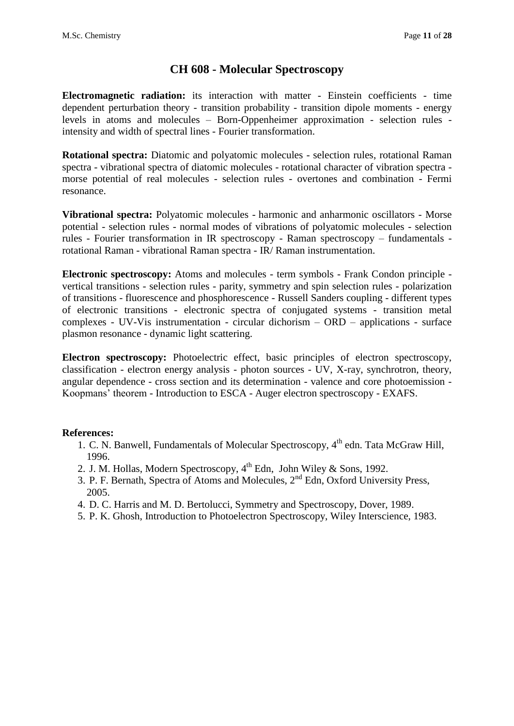### **CH 608 - Molecular Spectroscopy**

**Electromagnetic radiation:** its interaction with matter - Einstein coefficients - time dependent perturbation theory - transition probability - transition dipole moments - energy levels in atoms and molecules – Born-Oppenheimer approximation - selection rules intensity and width of spectral lines - Fourier transformation.

**Rotational spectra:** Diatomic and polyatomic molecules - selection rules, rotational Raman spectra - vibrational spectra of diatomic molecules - rotational character of vibration spectra morse potential of real molecules - selection rules - overtones and combination - Fermi resonance.

**Vibrational spectra:** Polyatomic molecules - harmonic and anharmonic oscillators - Morse potential - selection rules - normal modes of vibrations of polyatomic molecules - selection rules - Fourier transformation in IR spectroscopy - Raman spectroscopy – fundamentals rotational Raman - vibrational Raman spectra - IR/ Raman instrumentation.

**Electronic spectroscopy:** Atoms and molecules - term symbols - Frank Condon principle vertical transitions - selection rules - parity, symmetry and spin selection rules - polarization of transitions - fluorescence and phosphorescence - Russell Sanders coupling - different types of electronic transitions - electronic spectra of conjugated systems - transition metal complexes - UV-Vis instrumentation - circular dichorism – ORD – applications - surface plasmon resonance - dynamic light scattering.

**Electron spectroscopy:** Photoelectric effect, basic principles of electron spectroscopy, classification - electron energy analysis - photon sources - UV, X-ray, synchrotron, theory, angular dependence - cross section and its determination - valence and core photoemission - Koopmans' theorem - Introduction to ESCA - Auger electron spectroscopy - EXAFS.

- 1. C. N. Banwell, Fundamentals of Molecular Spectroscopy, 4<sup>th</sup> edn. Tata McGraw Hill, 1996.
- 2. J. M. Hollas, Modern Spectroscopy, 4<sup>th</sup> Edn, John Wiley & Sons, 1992.
- 3. P. F. Bernath, Spectra of Atoms and Molecules,  $2<sup>nd</sup>$  Edn, Oxford University Press, 2005.
- 4. D. C. Harris and M. D. Bertolucci, Symmetry and Spectroscopy, Dover, 1989.
- 5. P. K. Ghosh, Introduction to Photoelectron Spectroscopy, Wiley Interscience, 1983.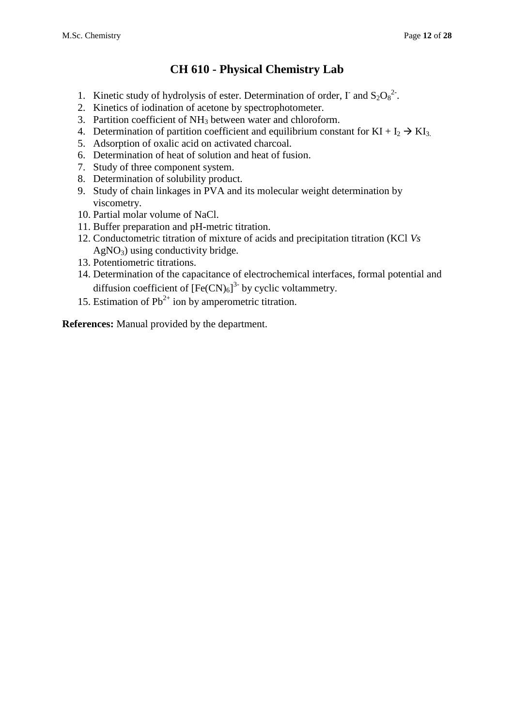# **CH 610 - Physical Chemistry Lab**

- 1. Kinetic study of hydrolysis of ester. Determination of order,  $\Gamma$  and  $S_2O_8^2$ .
- 2. Kinetics of iodination of acetone by spectrophotometer.
- 3. Partition coefficient of NH<sup>3</sup> between water and chloroform.
- 4. Determination of partition coefficient and equilibrium constant for  $KI + I_2 \rightarrow KI_3$ .
- 5. Adsorption of oxalic acid on activated charcoal.
- 6. Determination of heat of solution and heat of fusion.
- 7. Study of three component system.
- 8. Determination of solubility product.
- 9. Study of chain linkages in PVA and its molecular weight determination by viscometry.
- 10. Partial molar volume of NaCl.
- 11. Buffer preparation and pH-metric titration.
- 12. Conductometric titration of mixture of acids and precipitation titration (KCl *Vs*   $AgNO<sub>3</sub>$ ) using conductivity bridge.
- 13. Potentiometric titrations.
- 14. Determination of the capacitance of electrochemical interfaces, formal potential and diffusion coefficient of  $[Fe(CN)_6]^3$ <sup>-</sup> by cyclic voltammetry.
- 15. Estimation of  $Pb^{2+}$  ion by amperometric titration.

**References:** Manual provided by the department.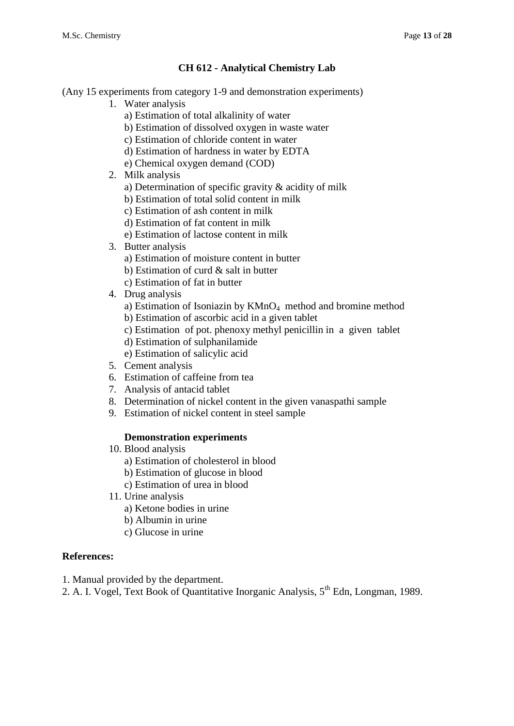### **CH 612 - Analytical Chemistry Lab**

(Any 15 experiments from category 1-9 and demonstration experiments)

- 1. Water analysis
	- a) Estimation of total alkalinity of water
	- b) Estimation of dissolved oxygen in waste water
	- c) Estimation of chloride content in water
	- d) Estimation of hardness in water by EDTA
	- e) Chemical oxygen demand (COD)
- 2. Milk analysis
	- a) Determination of specific gravity & acidity of milk
	- b) Estimation of total solid content in milk
	- c) Estimation of ash content in milk
	- d) Estimation of fat content in milk
	- e) Estimation of lactose content in milk
- 3. Butter analysis
	- a) Estimation of moisture content in butter
	- b) Estimation of curd & salt in butter
	- c) Estimation of fat in butter
- 4. Drug analysis
	- a) Estimation of Isoniazin by KMnO<sub>4</sub> method and bromine method
	- b) Estimation of ascorbic acid in a given tablet
	- c) Estimation of pot. phenoxy methyl penicillin in a given tablet
	- d) Estimation of sulphanilamide
	- e) Estimation of salicylic acid
- 5. Cement analysis
- 6. Estimation of caffeine from tea
- 7. Analysis of antacid tablet
- 8. Determination of nickel content in the given vanaspathi sample
- 9. Estimation of nickel content in steel sample

### **Demonstration experiments**

- 10. Blood analysis
	- a) Estimation of cholesterol in blood
	- b) Estimation of glucose in blood
	- c) Estimation of urea in blood
- 11. Urine analysis
	- a) Ketone bodies in urine
	- b) Albumin in urine
	- c) Glucose in urine

- 1. Manual provided by the department.
- 2. A. I. Vogel, Text Book of Quantitative Inorganic Analysis,  $5<sup>th</sup>$  Edn, Longman, 1989.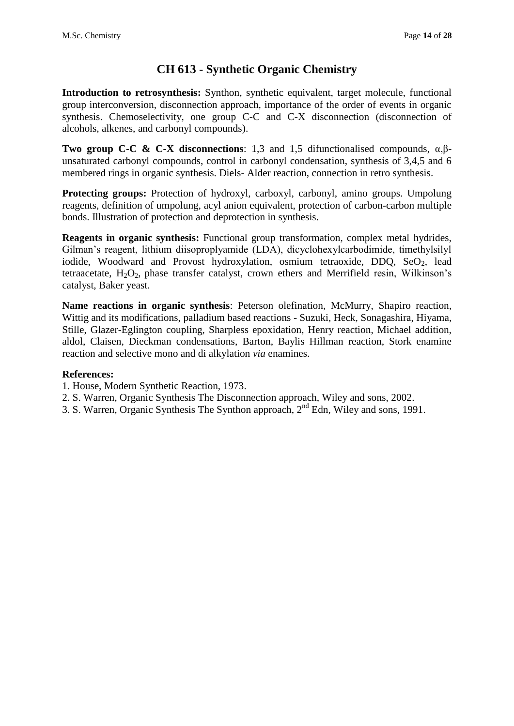### **CH 613 - Synthetic Organic Chemistry**

**Introduction to retrosynthesis:** Synthon, synthetic equivalent, target molecule, functional group interconversion, disconnection approach, importance of the order of events in organic synthesis. Chemoselectivity, one group C-C and C-X disconnection (disconnection of alcohols, alkenes, and carbonyl compounds).

**Two group C-C & C-X disconnections**: 1,3 and 1,5 difunctionalised compounds, α,βunsaturated carbonyl compounds, control in carbonyl condensation, synthesis of 3,4,5 and 6 membered rings in organic synthesis. Diels- Alder reaction, connection in retro synthesis.

**Protecting groups:** Protection of hydroxyl, carboxyl, carbonyl, amino groups. Umpolung reagents, definition of umpolung, acyl anion equivalent, protection of carbon-carbon multiple bonds. Illustration of protection and deprotection in synthesis.

**Reagents in organic synthesis:** Functional group transformation, complex metal hydrides, Gilman's reagent, lithium diisoproplyamide (LDA), dicyclohexylcarbodimide, timethylsilyl iodide, Woodward and Provost hydroxylation, osmium tetraoxide, DDQ, SeO<sub>2</sub>, lead tetraacetate,  $H_2O_2$ , phase transfer catalyst, crown ethers and Merrifield resin, Wilkinson's catalyst, Baker yeast.

**Name reactions in organic synthesis**: Peterson olefination, McMurry, Shapiro reaction, Wittig and its modifications, palladium based reactions - Suzuki, Heck, Sonagashira, Hiyama, Stille, Glazer-Eglington coupling, Sharpless epoxidation, Henry reaction, Michael addition, aldol, Claisen, Dieckman condensations, Barton, Baylis Hillman reaction, Stork enamine reaction and selective mono and di alkylation *via* enamines.

- 1. House, Modern Synthetic Reaction, 1973.
- 2. S. Warren, Organic Synthesis The Disconnection approach, Wiley and sons, 2002.
- 3. S. Warren, Organic Synthesis The Synthon approach, 2nd Edn, Wiley and sons, 1991.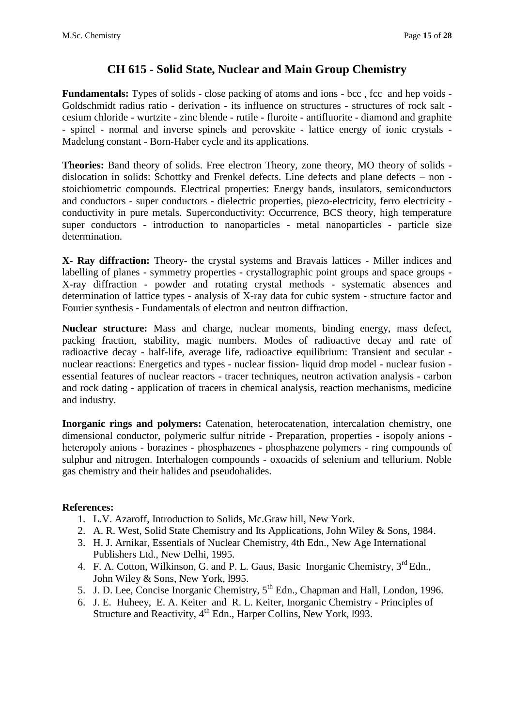### **CH 615 - Solid State, Nuclear and Main Group Chemistry**

**Fundamentals:** Types of solids - close packing of atoms and ions - bcc , fcc and hep voids - Goldschmidt radius ratio - derivation - its influence on structures - structures of rock salt cesium chloride - wurtzite - zinc blende - rutile - fluroite - antifluorite - diamond and graphite - spinel - normal and inverse spinels and perovskite - lattice energy of ionic crystals - Madelung constant - Born-Haber cycle and its applications.

**Theories:** Band theory of solids. Free electron Theory, zone theory, MO theory of solids dislocation in solids: Schottky and Frenkel defects. Line defects and plane defects – non stoichiometric compounds. Electrical properties: Energy bands, insulators, semiconductors and conductors - super conductors - dielectric properties, piezo-electricity, ferro electricity conductivity in pure metals. Superconductivity: Occurrence, BCS theory, high temperature super conductors - introduction to nanoparticles - metal nanoparticles - particle size determination.

**X- Ray diffraction:** Theory- the crystal systems and Bravais lattices - Miller indices and labelling of planes - symmetry properties - crystallographic point groups and space groups - X-ray diffraction - powder and rotating crystal methods - systematic absences and determination of lattice types - analysis of X-ray data for cubic system - structure factor and Fourier synthesis - Fundamentals of electron and neutron diffraction.

**Nuclear structure:** Mass and charge, nuclear moments, binding energy, mass defect, packing fraction, stability, magic numbers. Modes of radioactive decay and rate of radioactive decay - half-life, average life, radioactive equilibrium: Transient and secular nuclear reactions: Energetics and types - nuclear fission- liquid drop model - nuclear fusion essential features of nuclear reactors - tracer techniques, neutron activation analysis - carbon and rock dating - application of tracers in chemical analysis, reaction mechanisms, medicine and industry.

**Inorganic rings and polymers:** Catenation, heterocatenation, intercalation chemistry, one dimensional conductor, polymeric sulfur nitride - Preparation, properties - isopoly anions heteropoly anions - borazines - phosphazenes - phosphazene polymers - ring compounds of sulphur and nitrogen. Interhalogen compounds - oxoacids of selenium and tellurium. Noble gas chemistry and their halides and pseudohalides.

- 1. L.V. Azaroff, Introduction to Solids, Mc.Graw hill, New York.
- 2. A. R. West, Solid State Chemistry and Its Applications, John Wiley & Sons, 1984.
- 3. H. J. Arnikar, Essentials of Nuclear Chemistry, 4th Edn., New Age International Publishers Ltd., New Delhi, 1995.
- 4. F. A. Cotton, Wilkinson, G. and P. L. Gaus, Basic Inorganic Chemistry, 3<sup>rd</sup> Edn., John Wiley & Sons, New York, l995.
- 5. J. D. Lee, Concise Inorganic Chemistry, 5<sup>th</sup> Edn., Chapman and Hall, London, 1996.
- 6. J. E. Huheey, E. A. Keiter and R. L. Keiter, Inorganic Chemistry Principles of Structure and Reactivity, 4<sup>th</sup> Edn., Harper Collins, New York, 1993.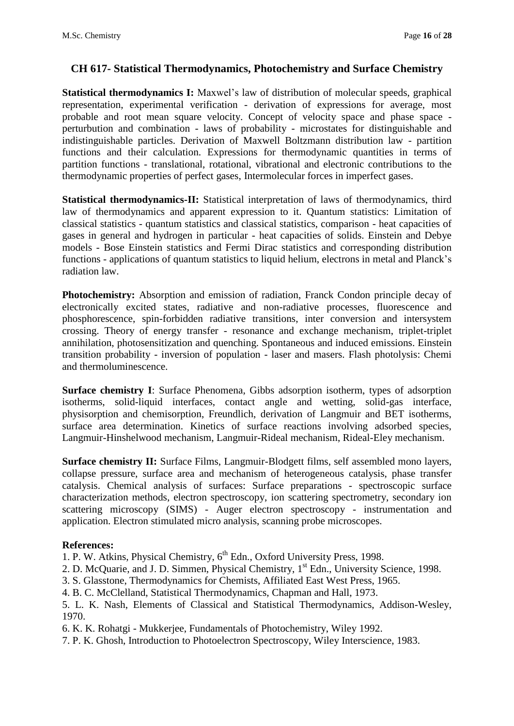### **CH 617- Statistical Thermodynamics, Photochemistry and Surface Chemistry**

**Statistical thermodynamics I:** Maxwel's law of distribution of molecular speeds, graphical representation, experimental verification - derivation of expressions for average, most probable and root mean square velocity. Concept of velocity space and phase space perturbution and combination - laws of probability - microstates for distinguishable and indistinguishable particles. Derivation of Maxwell Boltzmann distribution law - partition functions and their calculation. Expressions for thermodynamic quantities in terms of partition functions - translational, rotational, vibrational and electronic contributions to the thermodynamic properties of perfect gases, Intermolecular forces in imperfect gases.

**Statistical thermodynamics-II:** Statistical interpretation of laws of thermodynamics, third law of thermodynamics and apparent expression to it. Quantum statistics: Limitation of classical statistics - quantum statistics and classical statistics, comparison - heat capacities of gases in general and hydrogen in particular - heat capacities of solids. Einstein and Debye models - Bose Einstein statistics and Fermi Dirac statistics and corresponding distribution functions - applications of quantum statistics to liquid helium, electrons in metal and Planck's radiation law.

**Photochemistry:** Absorption and emission of radiation, Franck Condon principle decay of electronically excited states, radiative and non-radiative processes, fluorescence and phosphorescence, spin-forbidden radiative transitions, inter conversion and intersystem crossing. Theory of energy transfer - resonance and exchange mechanism, triplet-triplet annihilation, photosensitization and quenching. Spontaneous and induced emissions. Einstein transition probability - inversion of population - laser and masers. Flash photolysis: Chemi and thermoluminescence.

**Surface chemistry I**: Surface Phenomena, Gibbs adsorption isotherm, types of adsorption isotherms, solid-liquid interfaces, contact angle and wetting, solid-gas interface, physisorption and chemisorption, Freundlich, derivation of Langmuir and BET isotherms, surface area determination. Kinetics of surface reactions involving adsorbed species, Langmuir-Hinshelwood mechanism, Langmuir-Rideal mechanism, Rideal-Eley mechanism.

**Surface chemistry II:** Surface Films, Langmuir-Blodgett films, self assembled mono layers, collapse pressure, surface area and mechanism of heterogeneous catalysis, phase transfer catalysis. Chemical analysis of surfaces: Surface preparations - spectroscopic surface characterization methods, electron spectroscopy, ion scattering spectrometry, secondary ion scattering microscopy (SIMS) - Auger electron spectroscopy - instrumentation and application. Electron stimulated micro analysis, scanning probe microscopes.

#### **References:**

1. P. W. Atkins, Physical Chemistry, 6<sup>th</sup> Edn., Oxford University Press, 1998.

- 2. D. McQuarie, and J. D. Simmen, Physical Chemistry, 1<sup>st</sup> Edn., University Science, 1998.
- 3. S. Glasstone, Thermodynamics for Chemists, Affiliated East West Press, 1965.
- 4. B. C. McClelland, Statistical Thermodynamics, Chapman and Hall, 1973.

5. L. K. Nash, Elements of Classical and Statistical Thermodynamics, Addison-Wesley, 1970.

6. K. K. Rohatgi - Mukkerjee, Fundamentals of Photochemistry, Wiley 1992.

7. P. K. Ghosh, Introduction to Photoelectron Spectroscopy, Wiley Interscience, 1983.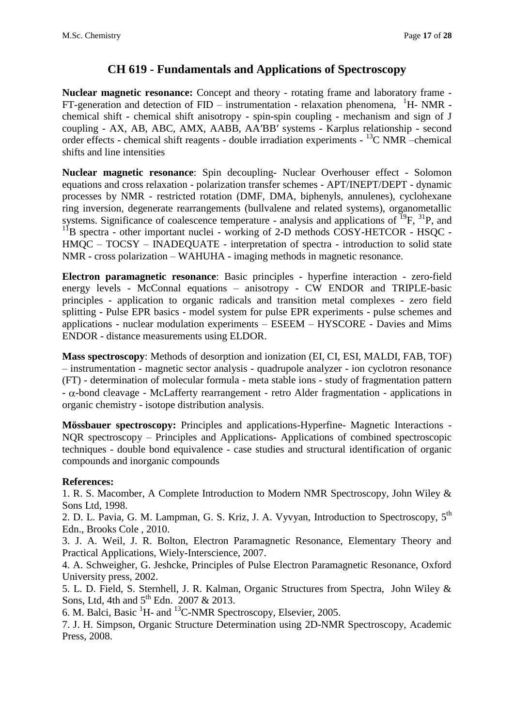### **CH 619 - Fundamentals and Applications of Spectroscopy**

**Nuclear magnetic resonance:** Concept and theory - rotating frame and laboratory frame -  $FT$ -generation and detection of  $FID$  – instrumentation - relaxation phenomena,  $H- NMR$  chemical shift - chemical shift anisotropy - spin-spin coupling - mechanism and sign of J coupling - AX, AB, ABC, AMX, AABB, AA′BB′ systems - Karplus relationship - second order effects - chemical shift reagents - double irradiation experiments - <sup>13</sup>C NMR - chemical shifts and line intensities

**Nuclear magnetic resonance**: Spin decoupling- Nuclear Overhouser effect - Solomon equations and cross relaxation - polarization transfer schemes - APT/INEPT/DEPT - dynamic processes by NMR - restricted rotation (DMF, DMA, biphenyls, annulenes), cyclohexane ring inversion, degenerate rearrangements (bullvalene and related systems), organometallic systems. Significance of coalescence temperature - analysis and applications of  $^{19}F$ ,  $^{31}P$ , and  $11B$  spectra - other important nuclei - working of 2-D methods COSY-HETCOR - HSQC -HMQC – TOCSY – INADEQUATE - interpretation of spectra - introduction to solid state NMR - cross polarization – WAHUHA - imaging methods in magnetic resonance.

**Electron paramagnetic resonance**: Basic principles - hyperfine interaction - zero-field energy levels - McConnal equations – anisotropy - CW ENDOR and TRIPLE-basic principles - application to organic radicals and transition metal complexes - zero field splitting - Pulse EPR basics - model system for pulse EPR experiments - pulse schemes and applications - nuclear modulation experiments – ESEEM – HYSCORE - Davies and Mims ENDOR - distance measurements using ELDOR.

**Mass spectroscopy**: Methods of desorption and ionization (EI, CI, ESI, MALDI, FAB, TOF) – instrumentation - magnetic sector analysis - quadrupole analyzer - ion cyclotron resonance (FT) - determination of molecular formula - meta stable ions - study of fragmentation pattern  $-\alpha$ -bond cleavage - McLafferty rearrangement - retro Alder fragmentation - applications in organic chemistry - isotope distribution analysis.

**Mössbauer spectroscopy:** Principles and applications-Hyperfine- Magnetic Interactions - NQR spectroscopy – Principles and Applications- Applications of combined spectroscopic techniques - double bond equivalence - case studies and structural identification of organic compounds and inorganic compounds

### **References:**

1. R. S. Macomber, A Complete Introduction to Modern NMR Spectroscopy, John Wiley & Sons Ltd, 1998.

2. D. L. Pavia, G. M. Lampman, G. S. Kriz, J. A. Vyvyan, [Introduction to Spectroscopy, 5](http://gigapedia.com/items:view?eid=KjYk8Ko1v2R5cK40%2B%2Br38SMdY3nHKRF%2B%2FuUwkvGOYnk%3D)<sup>th</sup> Edn., Brooks Cole , 2010.

3. J. A. Weil, J. R. Bolton, Electron Paramagnetic Resonance, Elementary Theory and Practical Applications, Wiely-Interscience, 2007.

4. A. Schweigher, G. Jeshcke, Principles of Pulse Electron Paramagnetic Resonance, Oxford University press, 2002.

5. L. D. Field, S. Sternhell, J. R. Kalman, Organic Structures from Spectra, John Wiley & Sons, Ltd, 4th and  $5<sup>th</sup>$  Edn. 2007 & 2013.

6. M. Balci, Basic  ${}^{1}$ H- and  ${}^{13}$ C-NMR Spectroscopy, Elsevier, 2005.

7. J. H. Simpson, Organic Structure Determination using 2D-NMR Spectroscopy, Academic Press, 2008.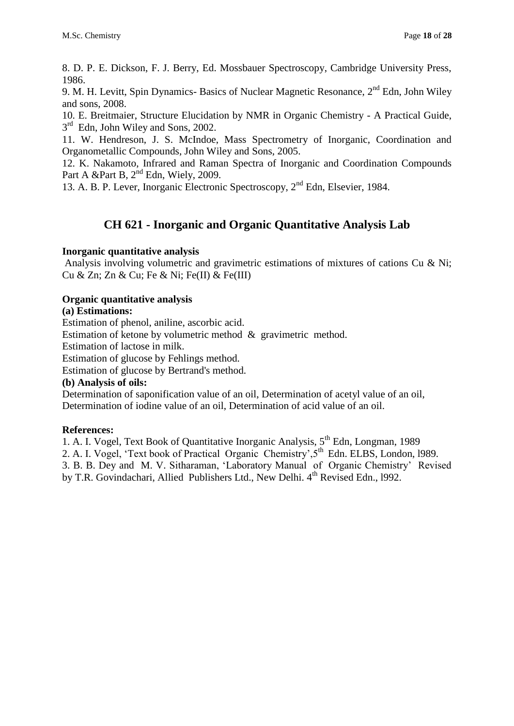8. D. P. E. Dickson, F. J. Berry, Ed. Mossbauer Spectroscopy, Cambridge University Press, 1986.

9. M. H. Levitt, Spin Dynamics-Basics of Nuclear Magnetic Resonance,  $2<sup>nd</sup>$  Edn, John Wiley and sons, 2008.

10. E. Breitmaier, Structure Elucidation by NMR in Organic Chemistry - A Practical Guide, 3<sup>rd</sup> Edn, John Wiley and Sons, 2002.

11. W. Hendreson, J. S. McIndoe, Mass Spectrometry of Inorganic, Coordination and Organometallic Compounds, John Wiley and Sons, 2005.

12. K. Nakamoto, Infrared and Raman Spectra of Inorganic and Coordination Compounds Part A &Part B,  $2<sup>nd</sup>$  Edn, Wiely, 2009.

13. A. B. P. Lever, Inorganic Electronic Spectroscopy, 2nd Edn, Elsevier, 1984.

# **CH 621 - Inorganic and Organic Quantitative Analysis Lab**

### **Inorganic quantitative analysis**

Analysis involving volumetric and gravimetric estimations of mixtures of cations Cu & Ni; Cu & Zn; Zn & Cu; Fe & Ni; Fe(II) & Fe(III)

### **Organic quantitative analysis**

### **(a) Estimations:**

Estimation of phenol, aniline, ascorbic acid.

Estimation of ketone by volumetric method & gravimetric method.

Estimation of lactose in milk.

Estimation of glucose by Fehlings method.

Estimation of glucose by Bertrand's method.

#### **(b) Analysis of oils:**

Determination of saponification value of an oil, Determination of acetyl value of an oil, Determination of iodine value of an oil, Determination of acid value of an oil.

### **References:**

1. A. I. Vogel, Text Book of Quantitative Inorganic Analysis, 5<sup>th</sup> Edn, Longman, 1989 2. A. I. Vogel, 'Text book of Practical Organic Chemistry', 5<sup>th</sup> Edn. ELBS, London, 1989. 3. B. B. Dey and M. V. Sitharaman, 'Laboratory Manual of Organic Chemistry' Revised by T.R. Govindachari, Allied Publishers Ltd., New Delhi. 4<sup>th</sup> Revised Edn., 1992.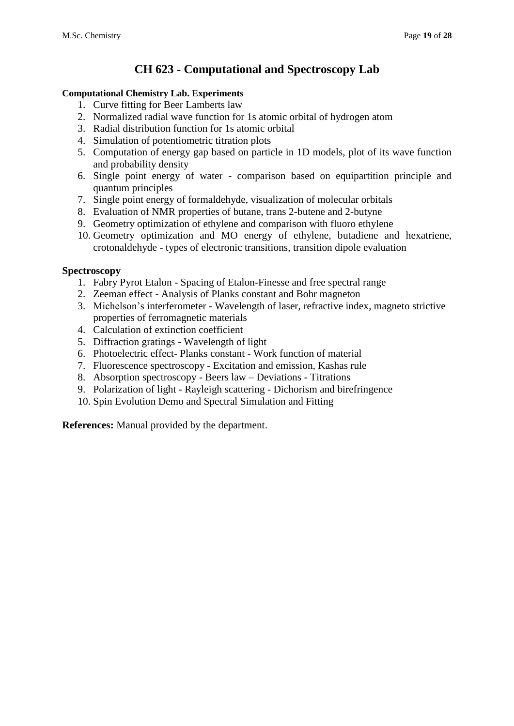# **CH 623 - Computational and Spectroscopy Lab**

### **Computational Chemistry Lab. Experiments**

- 1. Curve fitting for Beer Lamberts law
- 2. Normalized radial wave function for 1s atomic orbital of hydrogen atom
- 3. Radial distribution function for 1s atomic orbital
- 4. Simulation of potentiometric titration plots
- 5. Computation of energy gap based on particle in 1D models, plot of its wave function and probability density
- 6. Single point energy of water comparison based on equipartition principle and quantum principles
- 7. Single point energy of formaldehyde, visualization of molecular orbitals
- 8. Evaluation of NMR properties of butane, trans 2-butene and 2-butyne
- 9. Geometry optimization of ethylene and comparison with fluoro ethylene
- 10. Geometry optimization and MO energy of ethylene, butadiene and hexatriene, crotonaldehyde - types of electronic transitions, transition dipole evaluation

#### **Spectroscopy**

- 1. Fabry Pyrot Etalon Spacing of Etalon-Finesse and free spectral range
- 2. Zeeman effect Analysis of Planks constant and Bohr magneton
- 3. Michelson's interferometer Wavelength of laser, refractive index, magneto strictive properties of ferromagnetic materials
- 4. Calculation of extinction coefficient
- 5. Diffraction gratings Wavelength of light
- 6. Photoelectric effect- Planks constant Work function of material
- 7. Fluorescence spectroscopy Excitation and emission, Kashas rule
- 8. Absorption spectroscopy Beers law Deviations Titrations
- 9. Polarization of light Rayleigh scattering Dichorism and birefringence
- 10. Spin Evolution Demo and Spectral Simulation and Fitting

**References:** Manual provided by the department.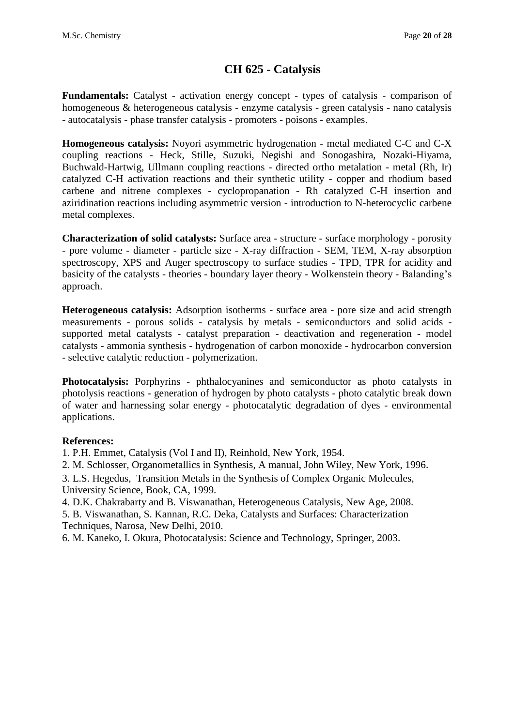# **CH 625 - Catalysis**

**Fundamentals:** Catalyst - activation energy concept - types of catalysis - comparison of homogeneous & heterogeneous catalysis - enzyme catalysis - green catalysis - nano catalysis - autocatalysis - phase transfer catalysis - promoters - poisons - examples.

**Homogeneous catalysis:** Noyori asymmetric hydrogenation - metal mediated C-C and C-X coupling reactions - Heck, Stille, Suzuki, Negishi and Sonogashira, Nozaki-Hiyama, Buchwald-Hartwig, Ullmann coupling reactions - directed ortho metalation - metal (Rh, Ir) catalyzed C-H activation reactions and their synthetic utility - copper and rhodium based carbene and nitrene complexes - cyclopropanation - Rh catalyzed C-H insertion and aziridination reactions including asymmetric version - introduction to N-heterocyclic carbene metal complexes.

**Characterization of solid catalysts:** Surface area - structure - surface morphology - porosity - pore volume - diameter - particle size - X-ray diffraction - SEM, TEM, X-ray absorption spectroscopy, XPS and Auger spectroscopy to surface studies - TPD, TPR for acidity and basicity of the catalysts - theories - boundary layer theory - Wolkenstein theory - Balanding's approach.

**Heterogeneous catalysis:** Adsorption isotherms - surface area - pore size and acid strength measurements - porous solids - catalysis by metals - semiconductors and solid acids supported metal catalysts - catalyst preparation - deactivation and regeneration - model catalysts - ammonia synthesis - hydrogenation of carbon monoxide - hydrocarbon conversion - selective catalytic reduction - polymerization.

**Photocatalysis:** Porphyrins - phthalocyanines and semiconductor as photo catalysts in photolysis reactions - generation of hydrogen by photo catalysts - photo catalytic break down of water and harnessing solar energy - photocatalytic degradation of dyes - environmental applications.

#### **References:**

1. P.H. Emmet, Catalysis (Vol I and II), Reinhold, New York, 1954.

2. M. Schlosser, Organometallics in Synthesis, A manual, John Wiley, New York, 1996.

3. L.S. Hegedus, Transition Metals in the Synthesis of Complex Organic Molecules, University Science, Book, CA, 1999.

4. D.K. Chakrabarty and B. Viswanathan, Heterogeneous Catalysis, New Age, 2008.

5. B. Viswanathan, S. Kannan, R.C. Deka, Catalysts and Surfaces: Characterization Techniques, Narosa, New Delhi, 2010.

6. [M. Kaneko,](http://www.amazon.com/s/ref=ntt_athr_dp_sr_1?_encoding=UTF8&field-author=Masao%20Kaneko&search-alias=books&sort=relevancerank) [I. Okura,](http://www.amazon.com/s/ref=ntt_athr_dp_sr_2?_encoding=UTF8&field-author=Ichiro%20Okura&search-alias=books&sort=relevancerank) Photocatalysis: Science and Technology, Springer, 2003.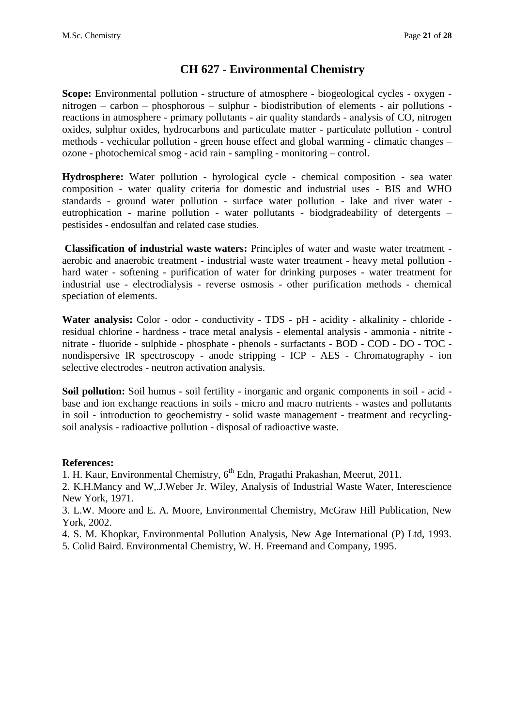### **CH 627 - Environmental Chemistry**

**Scope:** Environmental pollution - structure of atmosphere - biogeological cycles - oxygen nitrogen – carbon – phosphorous – sulphur - biodistribution of elements - air pollutions reactions in atmosphere - primary pollutants - air quality standards - analysis of CO, nitrogen oxides, sulphur oxides, hydrocarbons and particulate matter - particulate pollution - control methods - vechicular pollution - green house effect and global warming - climatic changes – ozone - photochemical smog - acid rain - sampling - monitoring – control.

**Hydrosphere:** Water pollution - hyrological cycle - chemical composition - sea water composition - water quality criteria for domestic and industrial uses - BIS and WHO standards - ground water pollution - surface water pollution - lake and river water eutrophication - marine pollution - water pollutants - biodgradeability of detergents – pestisides - endosulfan and related case studies.

**Classification of industrial waste waters:** Principles of water and waste water treatment aerobic and anaerobic treatment - industrial waste water treatment - heavy metal pollution hard water - softening - purification of water for drinking purposes - water treatment for industrial use - electrodialysis - reverse osmosis - other purification methods - chemical speciation of elements.

Water analysis: Color - odor - conductivity - TDS - pH - acidity - alkalinity - chloride residual chlorine - hardness - trace metal analysis - elemental analysis - ammonia - nitrite nitrate - fluoride - sulphide - phosphate - phenols - surfactants - BOD - COD - DO - TOC nondispersive IR spectroscopy - anode stripping - ICP - AES - Chromatography - ion selective electrodes - neutron activation analysis.

**Soil pollution:** Soil humus - soil fertility - inorganic and organic components in soil - acid base and ion exchange reactions in soils - micro and macro nutrients - wastes and pollutants in soil - introduction to geochemistry - solid waste management - treatment and recyclingsoil analysis - radioactive pollution - disposal of radioactive waste.

#### **References:**

1. H. Kaur, Environmental Chemistry,  $6<sup>th</sup>$  Edn, Pragathi Prakashan, Meerut, 2011.

2. K.H.Mancy and W,.J.Weber Jr. Wiley, Analysis of Industrial Waste Water, Interescience New York, 1971.

3. L.W. Moore and E. A. Moore, Environmental Chemistry, McGraw Hill Publication, New York, 2002.

4. S. M. Khopkar, Environmental Pollution Analysis, New Age International (P) Ltd, 1993.

5. Colid Baird. Environmental Chemistry, W. H. Freemand and Company, 1995.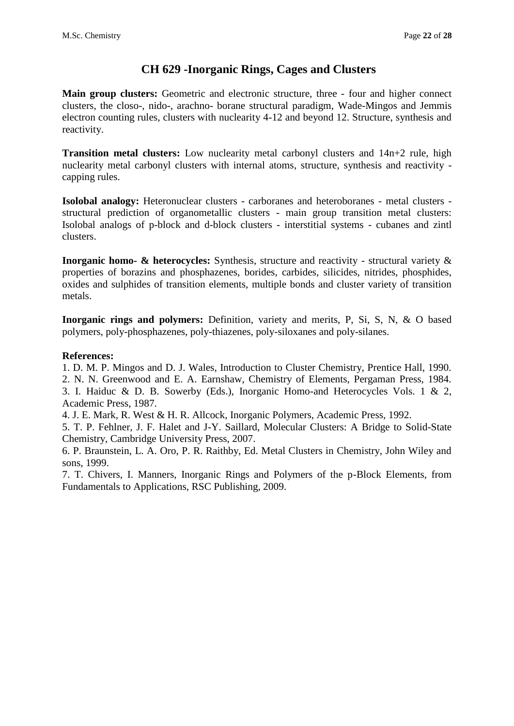## **CH 629 -Inorganic Rings, Cages and Clusters**

**Main group clusters:** Geometric and electronic structure, three - four and higher connect clusters, the closo-, nido-, arachno- borane structural paradigm, Wade-Mingos and Jemmis electron counting rules, clusters with nuclearity 4-12 and beyond 12. Structure, synthesis and reactivity.

**Transition metal clusters:** Low nuclearity metal carbonyl clusters and 14n+2 rule, high nuclearity metal carbonyl clusters with internal atoms, structure, synthesis and reactivity capping rules.

**Isolobal analogy:** Heteronuclear clusters - carboranes and heteroboranes - metal clusters structural prediction of organometallic clusters - main group transition metal clusters: Isolobal analogs of p-block and d-block clusters - interstitial systems - cubanes and zintl clusters.

**Inorganic homo-** & heterocycles: Synthesis, structure and reactivity - structural variety & properties of borazins and phosphazenes, borides, carbides, silicides, nitrides, phosphides, oxides and sulphides of transition elements, multiple bonds and cluster variety of transition metals.

**Inorganic rings and polymers:** Definition, variety and merits, P, Si, S, N, & O based polymers, poly-phosphazenes, poly-thiazenes, poly-siloxanes and poly-silanes.

### **References:**

1. D. M. P. Mingos and D. J. Wales, Introduction to Cluster Chemistry, Prentice Hall, 1990. 2. N. N. Greenwood and E. A. Earnshaw, Chemistry of Elements, Pergaman Press, 1984.

3. I. Haiduc & D. B. Sowerby (Eds.), Inorganic Homo-and Heterocycles Vols. 1 & 2, Academic Press, 1987.

4. J. E. Mark, R. West & H. R. Allcock, Inorganic Polymers, Academic Press, 1992.

5. T. P. Fehlner, J. F. Halet and J-Y. Saillard, Molecular Clusters: A Bridge to Solid-State Chemistry, Cambridge University Press, 2007.

6. P. Braunstein, L. A. Oro, P. R. Raithby, Ed. Metal Clusters in Chemistry, John Wiley and sons, 1999.

7. T. Chivers, I. Manners, Inorganic Rings and Polymers of the p-Block Elements, from Fundamentals to Applications, RSC Publishing, 2009.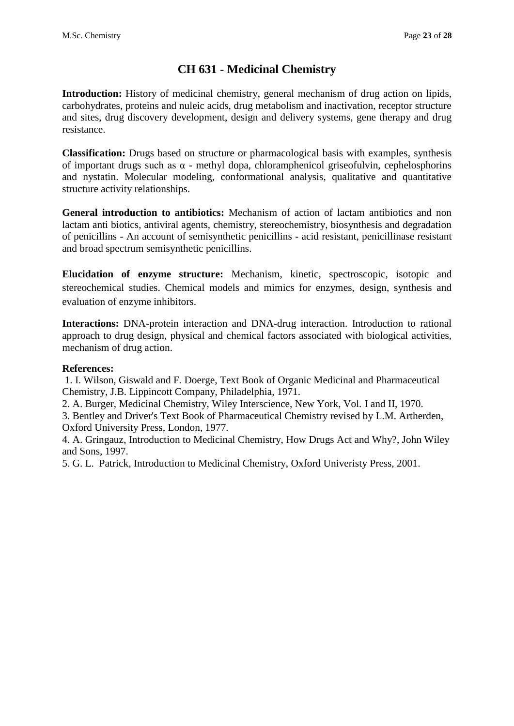# **CH 631 - Medicinal Chemistry**

**Introduction:** History of medicinal chemistry, general mechanism of drug action on lipids, carbohydrates, proteins and nuleic acids, drug metabolism and inactivation, receptor structure and sites, drug discovery development, design and delivery systems, gene therapy and drug resistance.

**Classification:** Drugs based on structure or pharmacological basis with examples, synthesis of important drugs such as  $\alpha$  - methyl dopa, chloramphenicol griseofulvin, cephelosphorins and nystatin. Molecular modeling, conformational analysis, qualitative and quantitative structure activity relationships.

**General introduction to antibiotics:** Mechanism of action of lactam antibiotics and non lactam anti biotics, antiviral agents, chemistry, stereochemistry, biosynthesis and degradation of penicillins - An account of semisynthetic penicillins - acid resistant, penicillinase resistant and broad spectrum semisynthetic penicillins.

**Elucidation of enzyme structure:** Mechanism, kinetic, spectroscopic, isotopic and stereochemical studies. Chemical models and mimics for enzymes, design, synthesis and evaluation of enzyme inhibitors.

**Interactions:** DNA-protein interaction and DNA-drug interaction. Introduction to rational approach to drug design, physical and chemical factors associated with biological activities, mechanism of drug action.

#### **References:**

1. I. Wilson, Giswald and F. Doerge, Text Book of Organic Medicinal and Pharmaceutical Chemistry, J.B. Lippincott Company, Philadelphia, 1971.

2. A. Burger, Medicinal Chemistry, Wiley Interscience, New York, Vol. I and II, 1970.

3. Bentley and Driver's Text Book of Pharmaceutical Chemistry revised by L.M. Artherden, Oxford University Press, London, 1977.

4. A. Gringauz, Introduction to Medicinal Chemistry, How Drugs Act and Why?, John Wiley and Sons, 1997.

5. G. L. Patrick, Introduction to Medicinal Chemistry, Oxford Univeristy Press, 2001.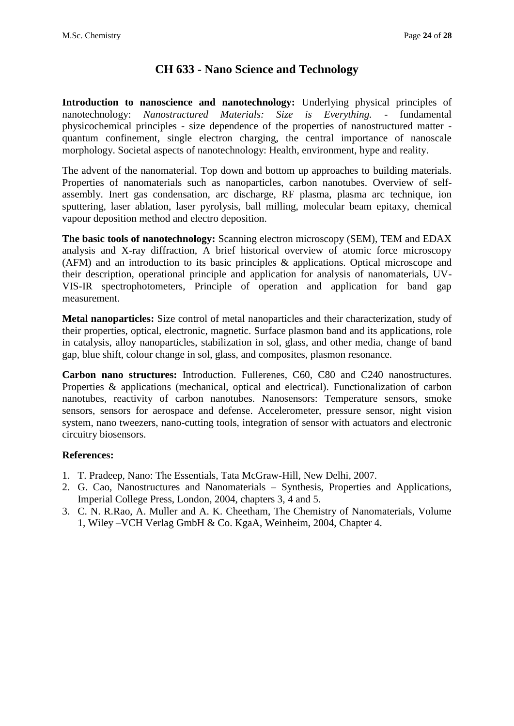# **CH 633 - Nano Science and Technology**

**Introduction to nanoscience and nanotechnology:** Underlying physical principles of nanotechnology: *Nanostructured Materials: Size is Everything. -* fundamental physicochemical principles - size dependence of the properties of nanostructured matter quantum confinement, single electron charging, the central importance of nanoscale morphology. Societal aspects of nanotechnology: Health, environment, hype and reality.

The advent of the nanomaterial. Top down and bottom up approaches to building materials. Properties of nanomaterials such as nanoparticles, carbon nanotubes. Overview of selfassembly. Inert gas condensation, arc discharge, RF plasma, plasma arc technique, ion sputtering, laser ablation, laser pyrolysis, ball milling, molecular beam epitaxy, chemical vapour deposition method and electro deposition.

**The basic tools of nanotechnology:** Scanning electron microscopy (SEM), TEM and EDAX analysis and X-ray diffraction, A brief historical overview of atomic force microscopy (AFM) and an introduction to its basic principles & applications. Optical microscope and their description, operational principle and application for analysis of nanomaterials, UV-VIS-IR spectrophotometers, Principle of operation and application for band gap measurement.

**Metal nanoparticles:** Size control of metal nanoparticles and their characterization, study of their properties, optical, electronic, magnetic. Surface plasmon band and its applications, role in catalysis, alloy nanoparticles, stabilization in sol, glass, and other media, change of band gap, blue shift, colour change in sol, glass, and composites, plasmon resonance.

**Carbon nano structures:** Introduction. Fullerenes, C60, C80 and C240 nanostructures. Properties & applications (mechanical, optical and electrical). Functionalization of carbon nanotubes, reactivity of carbon nanotubes. Nanosensors: Temperature sensors, smoke sensors, sensors for aerospace and defense. Accelerometer, pressure sensor, night vision system, nano tweezers, nano-cutting tools, integration of sensor with actuators and electronic circuitry biosensors.

- 1. T. Pradeep, Nano: The Essentials, Tata McGraw-Hill, New Delhi, 2007.
- 2. G. Cao, Nanostructures and Nanomaterials Synthesis, Properties and Applications, Imperial College Press, London, 2004, chapters 3, 4 and 5.
- 3. C. N. R.Rao, A. Muller and A. K. Cheetham, The Chemistry of Nanomaterials, Volume 1, Wiley –VCH Verlag GmbH & Co. KgaA, Weinheim, 2004, Chapter 4.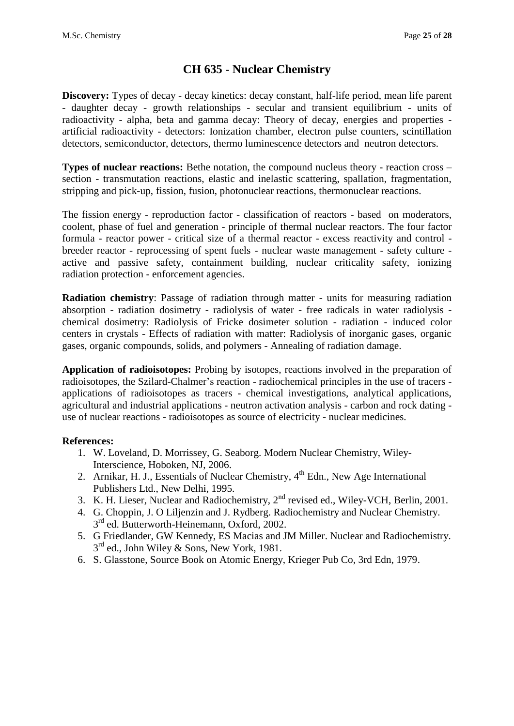# **CH 635 - Nuclear Chemistry**

**Discovery:** Types of decay - decay kinetics: decay constant, half-life period, mean life parent - daughter decay - growth relationships - secular and transient equilibrium - units of radioactivity - alpha, beta and gamma decay: Theory of decay, energies and properties artificial radioactivity - detectors: Ionization chamber, electron pulse counters, scintillation detectors, semiconductor, detectors, thermo luminescence detectors and neutron detectors.

**Types of nuclear reactions:** Bethe notation, the compound nucleus theory - reaction cross – section - transmutation reactions, elastic and inelastic scattering, spallation, fragmentation, stripping and pick-up, fission, fusion, photonuclear reactions, thermonuclear reactions.

The fission energy - reproduction factor - classification of reactors - based on moderators, coolent, phase of fuel and generation - principle of thermal nuclear reactors. The four factor formula - reactor power - critical size of a thermal reactor - excess reactivity and control breeder reactor - reprocessing of spent fuels - nuclear waste management - safety culture active and passive safety, containment building, nuclear criticality safety, ionizing radiation protection - enforcement agencies.

**Radiation chemistry**: Passage of radiation through matter - units for measuring radiation absorption - radiation dosimetry - radiolysis of water - free radicals in water radiolysis chemical dosimetry: Radiolysis of Fricke dosimeter solution - radiation - induced color centers in crystals - Effects of radiation with matter: Radiolysis of inorganic gases, organic gases, organic compounds, solids, and polymers - Annealing of radiation damage.

**Application of radioisotopes:** Probing by isotopes, reactions involved in the preparation of radioisotopes, the Szilard-Chalmer's reaction - radiochemical principles in the use of tracers applications of radioisotopes as tracers - chemical investigations, analytical applications, agricultural and industrial applications - neutron activation analysis - carbon and rock dating use of nuclear reactions - radioisotopes as source of electricity - nuclear medicines.

- 1. W. Loveland, D. Morrissey, G. Seaborg. Modern Nuclear Chemistry, Wiley-Interscience, Hoboken, NJ, 2006.
- 2. Arnikar, H. J., Essentials of Nuclear Chemistry,  $4<sup>th</sup>$  Edn., New Age International Publishers Ltd., New Delhi, 1995.
- 3. K. H. Lieser, Nuclear and Radiochemistry,  $2<sup>nd</sup>$  revised ed., Wiley-VCH, Berlin, 2001.
- 4. G. Choppin, J. O Liljenzin and J. Rydberg. Radiochemistry and Nuclear Chemistry. 3<sup>rd</sup> ed. Butterworth-Heinemann, Oxford, 2002.
- 5. G Friedlander, GW Kennedy, ES Macias and JM Miller. Nuclear and Radiochemistry. 3<sup>rd</sup> ed., John Wiley & Sons, New York, 1981.
- 6. S. Glasstone, Source Book on Atomic Energy, Krieger Pub Co, 3rd Edn, 1979.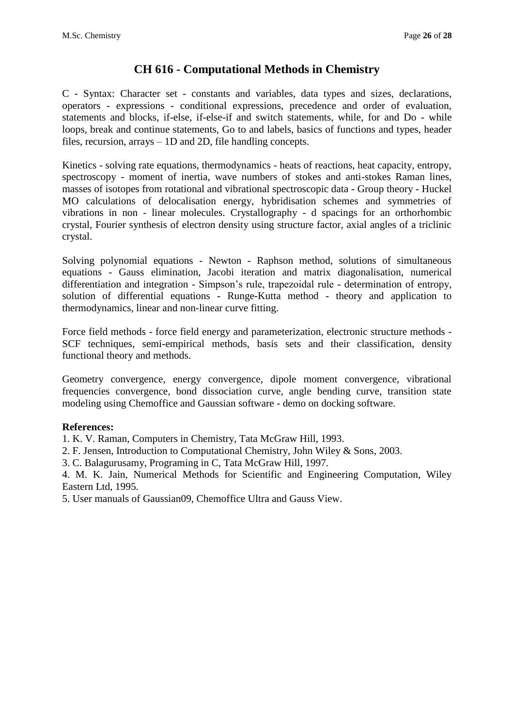### **CH 616 - Computational Methods in Chemistry**

C - Syntax: Character set - constants and variables, data types and sizes, declarations, operators - expressions - conditional expressions, precedence and order of evaluation, statements and blocks, if-else, if-else-if and switch statements, while, for and Do - while loops, break and continue statements, Go to and labels, basics of functions and types, header files, recursion, arrays – 1D and 2D, file handling concepts.

Kinetics - solving rate equations, thermodynamics - heats of reactions, heat capacity, entropy, spectroscopy - moment of inertia, wave numbers of stokes and anti-stokes Raman lines, masses of isotopes from rotational and vibrational spectroscopic data - Group theory - Huckel MO calculations of delocalisation energy, hybridisation schemes and symmetries of vibrations in non - linear molecules. Crystallography - d spacings for an orthorhombic crystal, Fourier synthesis of electron density using structure factor, axial angles of a triclinic crystal.

Solving polynomial equations - Newton - Raphson method, solutions of simultaneous equations - Gauss elimination, Jacobi iteration and matrix diagonalisation, numerical differentiation and integration - Simpson's rule, trapezoidal rule - determination of entropy, solution of differential equations - Runge-Kutta method - theory and application to thermodynamics, linear and non-linear curve fitting.

Force field methods - force field energy and parameterization, electronic structure methods - SCF techniques, semi-empirical methods, basis sets and their classification, density functional theory and methods.

Geometry convergence, energy convergence, dipole moment convergence, vibrational frequencies convergence, bond dissociation curve, angle bending curve, transition state modeling using Chemoffice and Gaussian software - demo on docking software.

#### **References:**

1. K. V. Raman, Computers in Chemistry, Tata McGraw Hill, 1993.

2. F. Jensen, Introduction to Computational Chemistry, John Wiley & Sons, 2003.

3. C. Balagurusamy, Programing in C, Tata McGraw Hill, 1997.

4. M. K. Jain, Numerical Methods for Scientific and Engineering Computation, Wiley Eastern Ltd, 1995.

5. User manuals of Gaussian09, Chemoffice Ultra and Gauss View.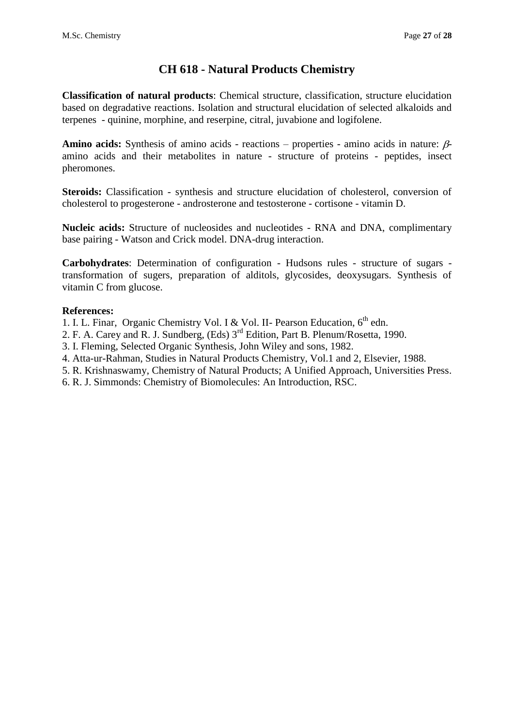# **CH 618 - Natural Products Chemistry**

**Classification of natural products**: Chemical structure, classification, structure elucidation based on degradative reactions. Isolation and structural elucidation of selected alkaloids and terpenes - quinine, morphine, and reserpine, citral, juvabione and logifolene.

**Amino acids:** Synthesis of amino acids - reactions – properties - amino acids in nature:  $\beta$ amino acids and their metabolites in nature - structure of proteins - peptides, insect pheromones.

**Steroids:** Classification - synthesis and structure elucidation of cholesterol, conversion of cholesterol to progesterone - androsterone and testosterone - cortisone - vitamin D.

**Nucleic acids:** Structure of nucleosides and nucleotides - RNA and DNA, complimentary base pairing - Watson and Crick model. DNA-drug interaction.

**Carbohydrates**: Determination of configuration - Hudsons rules - structure of sugars transformation of sugers, preparation of alditols, glycosides, deoxysugars. Synthesis of vitamin C from glucose.

#### **References:**

1. I. L. Finar, Organic Chemistry Vol. I & Vol. II- Pearson Education, 6<sup>th</sup> edn.

- 2. F. A. Carey and R. J. Sundberg, (Eds) 3rd Edition, Part B. Plenum/Rosetta, 1990.
- 3. I. Fleming, Selected Organic Synthesis, John Wiley and sons, 1982.
- 4. Atta-ur-Rahman, Studies in Natural Products Chemistry, Vol.1 and 2, Elsevier, 1988.
- 5. R. Krishnaswamy, Chemistry of Natural Products; A Unified Approach, Universities Press.
- 6. R. J. Simmonds: Chemistry of Biomolecules: An Introduction, RSC.